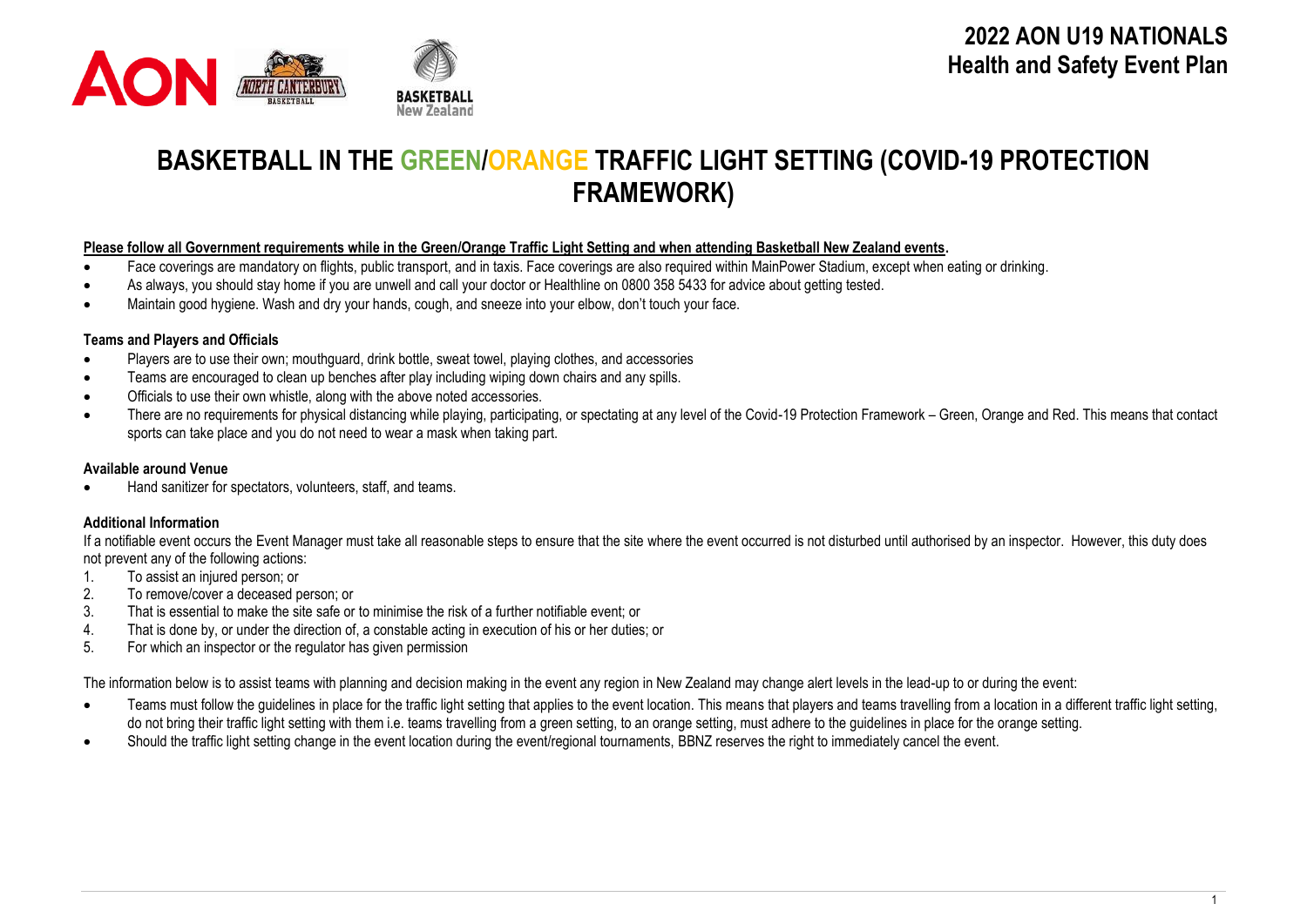

# **BASKETBALL IN THE GREEN/ORANGE TRAFFIC LIGHT SETTING (COVID-19 PROTECTION FRAMEWORK)**

#### **Please follow all Government requirements while in the Green/Orange Traffic Light Setting and when attending Basketball New Zealand events.**

- Face coverings are mandatory on flights, public transport, and in taxis. Face coverings are also required within MainPower Stadium, except when eating or drinking.
- As always, you should stay home if you are unwell and call your doctor or Healthline on 0800 358 5433 for advice about getting tested.
- Maintain good hygiene. Wash and dry your hands, cough, and sneeze into your elbow, don't touch your face.

### **Teams and Players and Officials**

- Players are to use their own; mouthguard, drink bottle, sweat towel, playing clothes, and accessories
- Teams are encouraged to clean up benches after play including wiping down chairs and any spills.
- Officials to use their own whistle, along with the above noted accessories.
- There are no requirements for physical distancing while playing, participating, or spectating at any level of the Covid-19 Protection Framework Green, Orange and Red. This means that contact sports can take place and you do not need to wear a mask when taking part.

#### **Available around Venue**

• Hand sanitizer for spectators, volunteers, staff, and teams.

### **Additional Information**

If a notifiable event occurs the Event Manager must take all reasonable steps to ensure that the site where the event occurred is not disturbed until authorised by an inspector. However, this duty does not prevent any of the following actions:

- 1. To assist an injured person; or<br>2. To remove/cover a deceased n
- 2. To remove/cover a deceased person; or
- 3. That is essential to make the site safe or to minimise the risk of a further notifiable event; or
- 4. That is done by, or under the direction of, a constable acting in execution of his or her duties; or
- 5. For which an inspector or the regulator has given permission

The information below is to assist teams with planning and decision making in the event any region in New Zealand may change alert levels in the lead-up to or during the event:

- Teams must follow the guidelines in place for the traffic light setting that applies to the event location. This means that players and teams travelling from a location in a different traffic light setting, do not bring their traffic light setting with them i.e. teams travelling from a green setting, to an orange setting, must adhere to the guidelines in place for the orange setting.
- Should the traffic light setting change in the event location during the event/regional tournaments, BBNZ reserves the right to immediately cancel the event.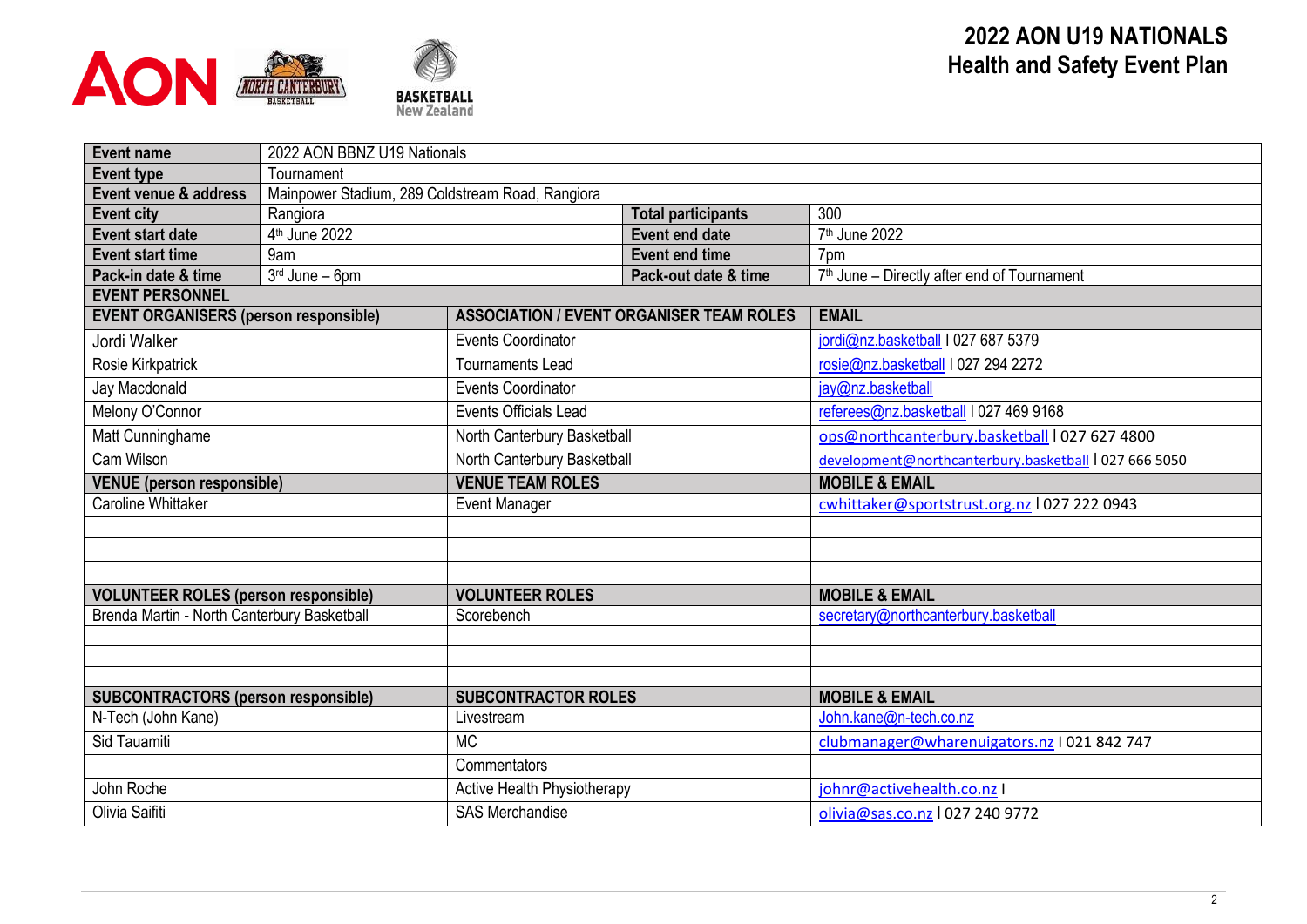

| <b>Event name</b>                            |                                                  | 2022 AON BBNZ U19 Nationals        |                                                 |                                                         |  |  |  |  |  |
|----------------------------------------------|--------------------------------------------------|------------------------------------|-------------------------------------------------|---------------------------------------------------------|--|--|--|--|--|
| <b>Event type</b>                            | Tournament                                       |                                    |                                                 |                                                         |  |  |  |  |  |
| Event venue & address                        | Mainpower Stadium, 289 Coldstream Road, Rangiora |                                    |                                                 |                                                         |  |  |  |  |  |
| <b>Event city</b>                            | Rangiora                                         |                                    | <b>Total participants</b>                       | 300                                                     |  |  |  |  |  |
| <b>Event start date</b>                      | 4 <sup>th</sup> June 2022                        |                                    | <b>Event end date</b>                           | 7 <sup>th</sup> June 2022                               |  |  |  |  |  |
| <b>Event start time</b>                      | 9am                                              |                                    | <b>Event end time</b>                           | 7pm                                                     |  |  |  |  |  |
| Pack-in date & time                          | 3rd June - 6pm                                   |                                    | Pack-out date & time                            | 7 <sup>th</sup> June – Directly after end of Tournament |  |  |  |  |  |
| <b>EVENT PERSONNEL</b>                       |                                                  |                                    |                                                 |                                                         |  |  |  |  |  |
| <b>EVENT ORGANISERS (person responsible)</b> |                                                  |                                    | <b>ASSOCIATION / EVENT ORGANISER TEAM ROLES</b> | <b>EMAIL</b>                                            |  |  |  |  |  |
| Jordi Walker                                 |                                                  | <b>Events Coordinator</b>          |                                                 | jordi@nz.basketball I 027 687 5379                      |  |  |  |  |  |
| Rosie Kirkpatrick                            |                                                  | <b>Tournaments Lead</b>            |                                                 | rosie@nz.basketball I 027 294 2272                      |  |  |  |  |  |
| Jay Macdonald                                |                                                  | <b>Events Coordinator</b>          |                                                 | jay@nz.basketball                                       |  |  |  |  |  |
| Melony O'Connor                              |                                                  | <b>Events Officials Lead</b>       |                                                 | referees@nz.basketball I 027 469 9168                   |  |  |  |  |  |
| Matt Cunninghame                             |                                                  | North Canterbury Basketball        |                                                 | ops@northcanterbury.basketball   027 627 4800           |  |  |  |  |  |
| Cam Wilson                                   |                                                  | North Canterbury Basketball        |                                                 | development@northcanterbury.basketball   027 666 5050   |  |  |  |  |  |
| <b>VENUE</b> (person responsible)            |                                                  | <b>VENUE TEAM ROLES</b>            |                                                 | <b>MOBILE &amp; EMAIL</b>                               |  |  |  |  |  |
| <b>Caroline Whittaker</b>                    |                                                  | <b>Event Manager</b>               |                                                 | cwhittaker@sportstrust.org.nz   027 222 0943            |  |  |  |  |  |
|                                              |                                                  |                                    |                                                 |                                                         |  |  |  |  |  |
|                                              |                                                  |                                    |                                                 |                                                         |  |  |  |  |  |
|                                              |                                                  |                                    |                                                 |                                                         |  |  |  |  |  |
| <b>VOLUNTEER ROLES (person responsible)</b>  |                                                  | <b>VOLUNTEER ROLES</b>             |                                                 | <b>MOBILE &amp; EMAIL</b>                               |  |  |  |  |  |
| Brenda Martin - North Canterbury Basketball  |                                                  | Scorebench                         |                                                 | secretary@northcanterbury.basketball                    |  |  |  |  |  |
|                                              |                                                  |                                    |                                                 |                                                         |  |  |  |  |  |
|                                              |                                                  |                                    |                                                 |                                                         |  |  |  |  |  |
|                                              |                                                  |                                    |                                                 |                                                         |  |  |  |  |  |
| <b>SUBCONTRACTORS (person responsible)</b>   |                                                  | <b>SUBCONTRACTOR ROLES</b>         |                                                 | <b>MOBILE &amp; EMAIL</b>                               |  |  |  |  |  |
| N-Tech (John Kane)                           |                                                  | Livestream                         |                                                 | John.kane@n-tech.co.nz                                  |  |  |  |  |  |
| Sid Tauamiti                                 |                                                  | <b>MC</b>                          |                                                 | clubmanager@wharenuigators.nz I 021 842 747             |  |  |  |  |  |
|                                              |                                                  | Commentators                       |                                                 |                                                         |  |  |  |  |  |
| John Roche                                   |                                                  | <b>Active Health Physiotherapy</b> |                                                 | johnr@activehealth.co.nz I                              |  |  |  |  |  |
| Olivia Saifiti                               |                                                  | <b>SAS Merchandise</b>             |                                                 | olivia@sas.co.nz   027 240 9772                         |  |  |  |  |  |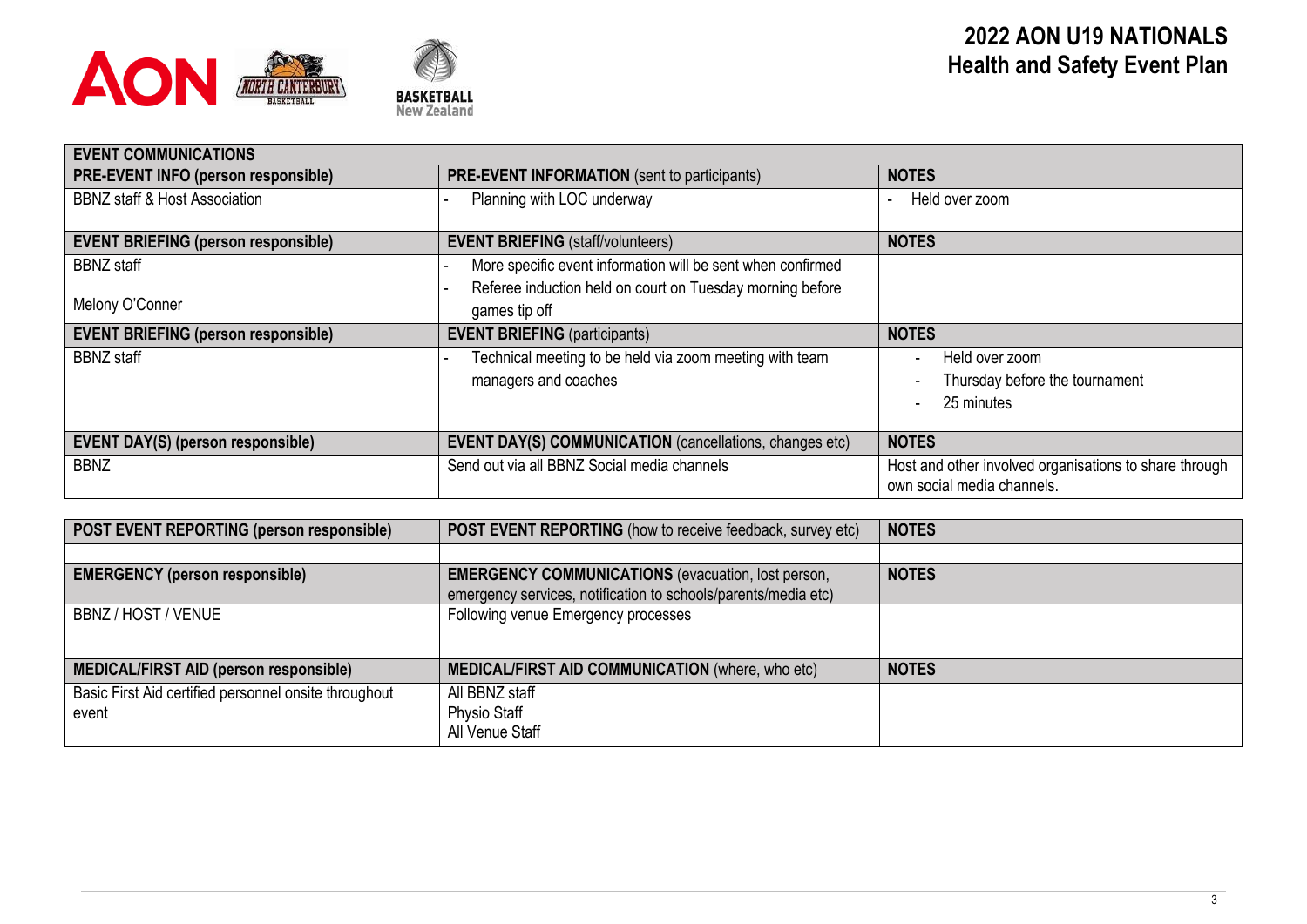



| <b>EVENT COMMUNICATIONS</b>                |                                                                                                                                           |                                                                                      |
|--------------------------------------------|-------------------------------------------------------------------------------------------------------------------------------------------|--------------------------------------------------------------------------------------|
| PRE-EVENT INFO (person responsible)        | <b>PRE-EVENT INFORMATION</b> (sent to participants)                                                                                       | <b>NOTES</b>                                                                         |
| <b>BBNZ</b> staff & Host Association       | Planning with LOC underway                                                                                                                | Held over zoom                                                                       |
| <b>EVENT BRIEFING (person responsible)</b> | <b>EVENT BRIEFING (staff/volunteers)</b>                                                                                                  | <b>NOTES</b>                                                                         |
| <b>BBNZ</b> staff<br>Melony O'Conner       | More specific event information will be sent when confirmed<br>Referee induction held on court on Tuesday morning before<br>games tip off |                                                                                      |
| <b>EVENT BRIEFING (person responsible)</b> | <b>EVENT BRIEFING</b> (participants)                                                                                                      | <b>NOTES</b>                                                                         |
| <b>BBNZ</b> staff                          | Technical meeting to be held via zoom meeting with team<br>managers and coaches                                                           | Held over zoom<br>Thursday before the tournament<br>25 minutes                       |
| <b>EVENT DAY(S) (person responsible)</b>   | <b>EVENT DAY(S) COMMUNICATION</b> (cancellations, changes etc)                                                                            | <b>NOTES</b>                                                                         |
| <b>BBNZ</b>                                | Send out via all BBNZ Social media channels                                                                                               | Host and other involved organisations to share through<br>own social media channels. |

| <b>POST EVENT REPORTING (person responsible)</b>               | <b>POST EVENT REPORTING</b> (how to receive feedback, survey etc)                                                           | <b>NOTES</b> |
|----------------------------------------------------------------|-----------------------------------------------------------------------------------------------------------------------------|--------------|
|                                                                |                                                                                                                             |              |
| <b>EMERGENCY (person responsible)</b>                          | <b>EMERGENCY COMMUNICATIONS</b> (evacuation, lost person,<br>emergency services, notification to schools/parents/media etc) | <b>NOTES</b> |
| BBNZ / HOST / VENUE                                            | Following venue Emergency processes                                                                                         |              |
| <b>MEDICAL/FIRST AID (person responsible)</b>                  | <b>MEDICAL/FIRST AID COMMUNICATION (where, who etc)</b>                                                                     | <b>NOTES</b> |
| Basic First Aid certified personnel onsite throughout<br>event | All BBNZ staff<br><b>Physio Staff</b><br>All Venue Staff                                                                    |              |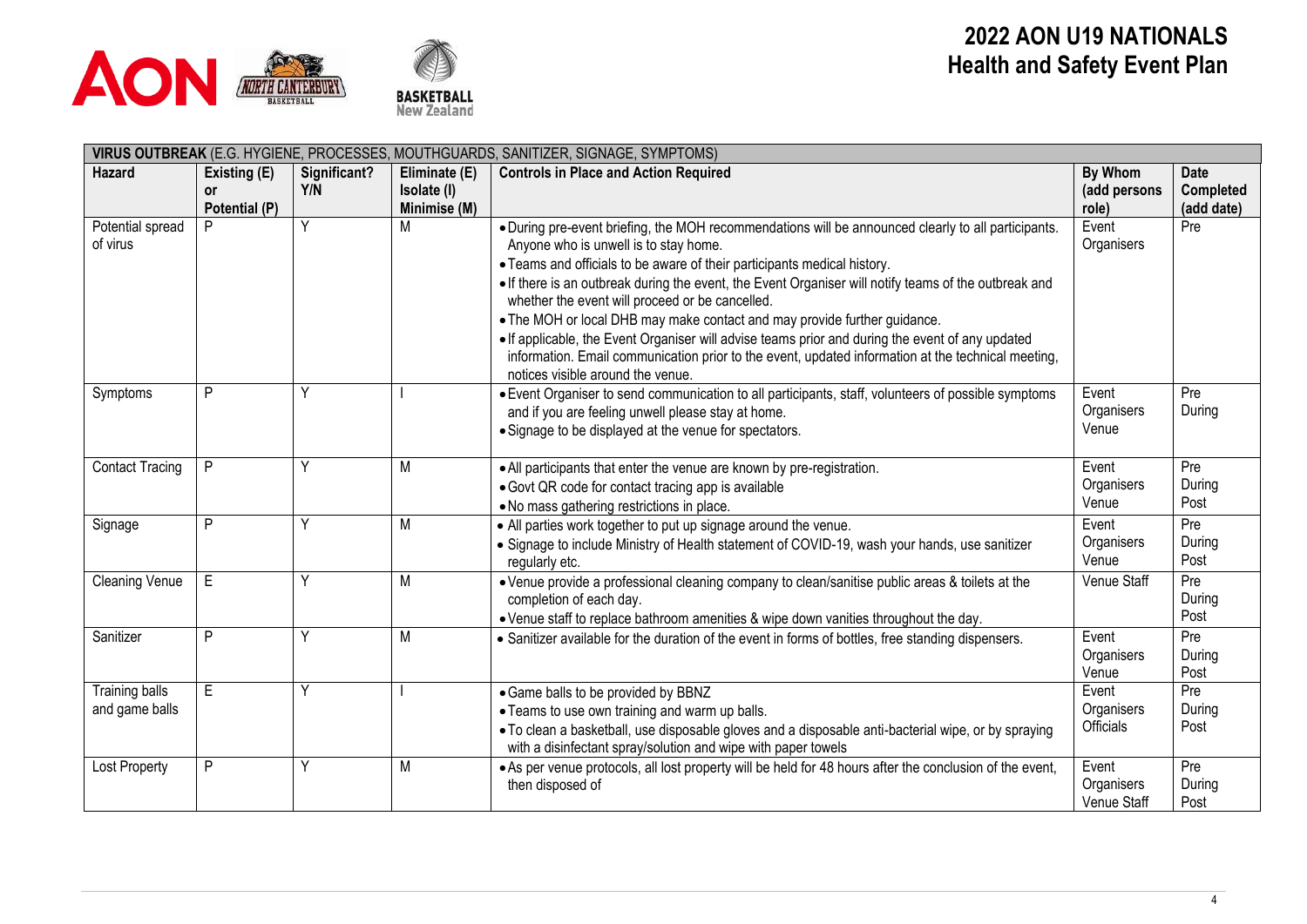



|                                         | VIRUS OUTBREAK (E.G. HYGIENE, PROCESSES, MOUTHGUARDS, SANITIZER, SIGNAGE, SYMPTOMS) |              |                   |                                                                                                                                                                                                                                                                                                                                                                                                                                                                                                                                                                                                                                                                                                                  |                                    |                                |  |  |  |  |
|-----------------------------------------|-------------------------------------------------------------------------------------|--------------|-------------------|------------------------------------------------------------------------------------------------------------------------------------------------------------------------------------------------------------------------------------------------------------------------------------------------------------------------------------------------------------------------------------------------------------------------------------------------------------------------------------------------------------------------------------------------------------------------------------------------------------------------------------------------------------------------------------------------------------------|------------------------------------|--------------------------------|--|--|--|--|
| Hazard                                  | Existing (E)                                                                        | Significant? | Eliminate (E)     | <b>Controls in Place and Action Required</b>                                                                                                                                                                                                                                                                                                                                                                                                                                                                                                                                                                                                                                                                     | By Whom                            | <b>Date</b>                    |  |  |  |  |
|                                         | 0r                                                                                  | Y/N          | Isolate (I)       |                                                                                                                                                                                                                                                                                                                                                                                                                                                                                                                                                                                                                                                                                                                  | (add persons<br>role)              | <b>Completed</b><br>(add date) |  |  |  |  |
| Potential spread<br>of virus            | Potential (P)<br>P                                                                  | Ÿ            | Minimise (M)<br>М | . During pre-event briefing, the MOH recommendations will be announced clearly to all participants.<br>Anyone who is unwell is to stay home.<br>• Teams and officials to be aware of their participants medical history.<br>. If there is an outbreak during the event, the Event Organiser will notify teams of the outbreak and<br>whether the event will proceed or be cancelled.<br>• The MOH or local DHB may make contact and may provide further guidance.<br>• If applicable, the Event Organiser will advise teams prior and during the event of any updated<br>information. Email communication prior to the event, updated information at the technical meeting,<br>notices visible around the venue. | Event<br>Organisers                | Pre                            |  |  |  |  |
| Symptoms                                | P                                                                                   | ٧            |                   | · Event Organiser to send communication to all participants, staff, volunteers of possible symptoms<br>and if you are feeling unwell please stay at home.<br>• Signage to be displayed at the venue for spectators.                                                                                                                                                                                                                                                                                                                                                                                                                                                                                              | Event<br>Organisers<br>Venue       | Pre<br>During                  |  |  |  |  |
| <b>Contact Tracing</b>                  | P                                                                                   |              | M                 | • All participants that enter the venue are known by pre-registration.<br>· Govt QR code for contact tracing app is available<br>. No mass gathering restrictions in place.                                                                                                                                                                                                                                                                                                                                                                                                                                                                                                                                      | Event<br>Organisers<br>Venue       | Pre<br>During<br>Post          |  |  |  |  |
| Signage                                 | P                                                                                   | Υ            | M                 | • All parties work together to put up signage around the venue.<br>• Signage to include Ministry of Health statement of COVID-19, wash your hands, use sanitizer<br>regularly etc.                                                                                                                                                                                                                                                                                                                                                                                                                                                                                                                               | Event<br>Organisers<br>Venue       | Pre<br>During<br>Post          |  |  |  |  |
| <b>Cleaning Venue</b>                   | E.                                                                                  | Y            | M                 | . Venue provide a professional cleaning company to clean/sanitise public areas & toilets at the<br>completion of each day.<br>• Venue staff to replace bathroom amenities & wipe down vanities throughout the day.                                                                                                                                                                                                                                                                                                                                                                                                                                                                                               | Venue Staff                        | Pre<br>During<br>Post          |  |  |  |  |
| Sanitizer                               | P                                                                                   | Υ            | M                 | • Sanitizer available for the duration of the event in forms of bottles, free standing dispensers.                                                                                                                                                                                                                                                                                                                                                                                                                                                                                                                                                                                                               | Event<br>Organisers<br>Venue       | Pre<br>During<br>Post          |  |  |  |  |
| <b>Training balls</b><br>and game balls | E                                                                                   | Y            |                   | • Game balls to be provided by BBNZ<br>• Teams to use own training and warm up balls.<br>. To clean a basketball, use disposable gloves and a disposable anti-bacterial wipe, or by spraying<br>with a disinfectant spray/solution and wipe with paper towels                                                                                                                                                                                                                                                                                                                                                                                                                                                    | Event<br>Organisers<br>Officials   | Pre<br>During<br>Post          |  |  |  |  |
| <b>Lost Property</b>                    | P                                                                                   | Υ            | M                 | • As per venue protocols, all lost property will be held for 48 hours after the conclusion of the event,<br>then disposed of                                                                                                                                                                                                                                                                                                                                                                                                                                                                                                                                                                                     | Event<br>Organisers<br>Venue Staff | Pre<br>During<br>Post          |  |  |  |  |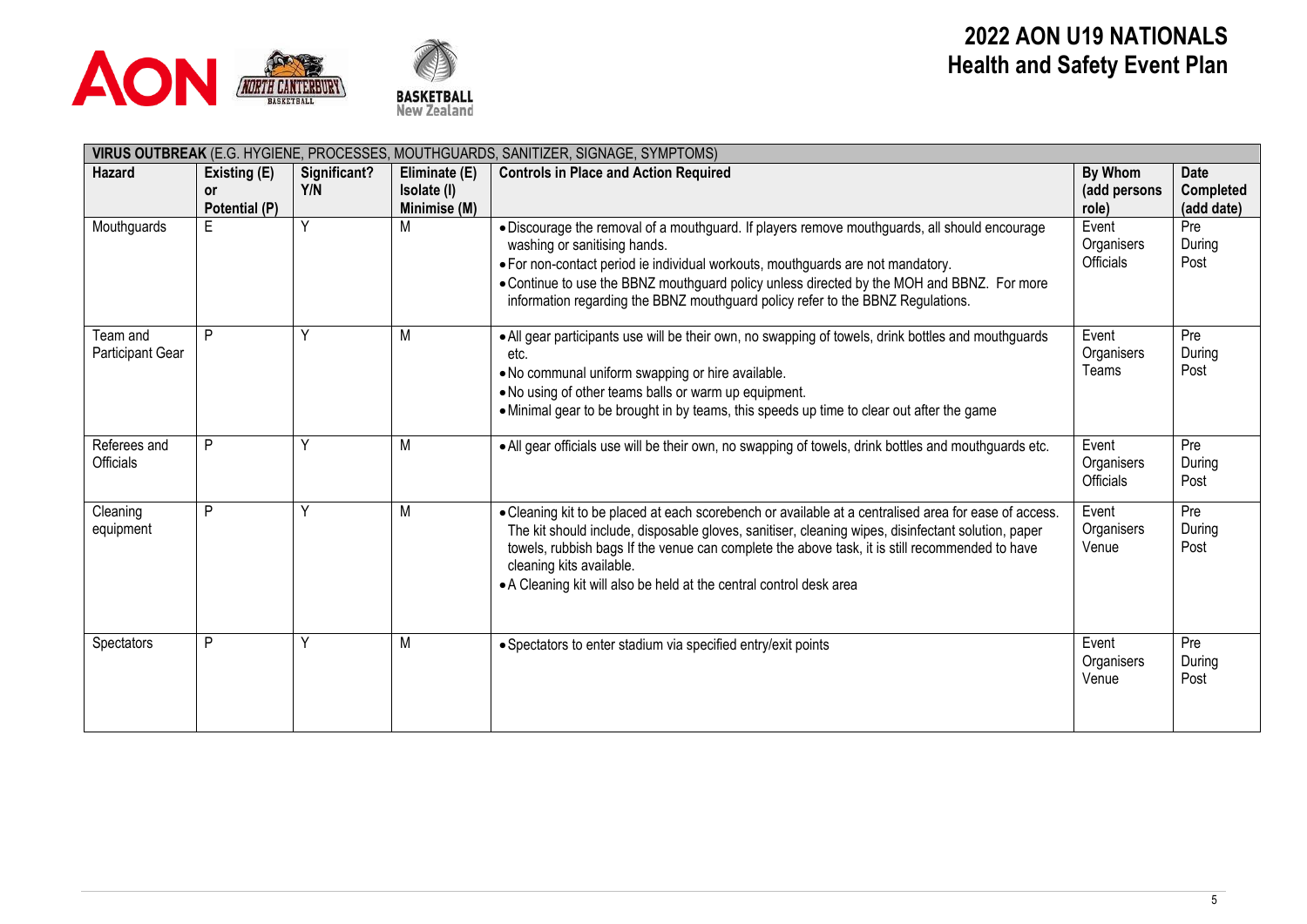



| VIRUS OUTBREAK (E.G. HYGIENE, PROCESSES, MOUTHGUARDS, SANITIZER, SIGNAGE, SYMPTOMS) |                                     |                     |                                              |                                                                                                                                                                                                                                                                                                                                                                                                                  |                                  |                                        |  |  |  |  |
|-------------------------------------------------------------------------------------|-------------------------------------|---------------------|----------------------------------------------|------------------------------------------------------------------------------------------------------------------------------------------------------------------------------------------------------------------------------------------------------------------------------------------------------------------------------------------------------------------------------------------------------------------|----------------------------------|----------------------------------------|--|--|--|--|
| <b>Hazard</b>                                                                       | Existing (E)<br>or<br>Potential (P) | Significant?<br>Y/N | Eliminate (E)<br>Isolate (I)<br>Minimise (M) | <b>Controls in Place and Action Required</b>                                                                                                                                                                                                                                                                                                                                                                     | By Whom<br>(add persons<br>role) | <b>Date</b><br>Completed<br>(add date) |  |  |  |  |
| Mouthguards                                                                         | E                                   | Υ                   | М                                            | · Discourage the removal of a mouthguard. If players remove mouthguards, all should encourage<br>washing or sanitising hands.<br>• For non-contact period ie individual workouts, mouthguards are not mandatory.<br>. Continue to use the BBNZ mouthguard policy unless directed by the MOH and BBNZ. For more<br>information regarding the BBNZ mouthguard policy refer to the BBNZ Regulations.                | Event<br>Organisers<br>Officials | Pre<br>During<br>Post                  |  |  |  |  |
| Team and<br>Participant Gear                                                        | P                                   |                     | M                                            | • All gear participants use will be their own, no swapping of towels, drink bottles and mouthguards<br>etc.<br>. No communal uniform swapping or hire available.<br>. No using of other teams balls or warm up equipment.<br>• Minimal gear to be brought in by teams, this speeds up time to clear out after the game                                                                                           | Event<br>Organisers<br>Teams     | Pre<br>During<br>Post                  |  |  |  |  |
| Referees and<br>Officials                                                           | P                                   |                     | M                                            | . All gear officials use will be their own, no swapping of towels, drink bottles and mouthguards etc.                                                                                                                                                                                                                                                                                                            | Event<br>Organisers<br>Officials | Pre<br>During<br>Post                  |  |  |  |  |
| Cleaning<br>equipment                                                               | P                                   | Y                   | M                                            | • Cleaning kit to be placed at each scorebench or available at a centralised area for ease of access.<br>The kit should include, disposable gloves, sanitiser, cleaning wipes, disinfectant solution, paper<br>towels, rubbish bags If the venue can complete the above task, it is still recommended to have<br>cleaning kits available.<br>• A Cleaning kit will also be held at the central control desk area | Event<br>Organisers<br>Venue     | Pre<br>During<br>Post                  |  |  |  |  |
| Spectators                                                                          | P                                   | v                   | M                                            | • Spectators to enter stadium via specified entry/exit points                                                                                                                                                                                                                                                                                                                                                    | Event<br>Organisers<br>Venue     | Pre<br>During<br>Post                  |  |  |  |  |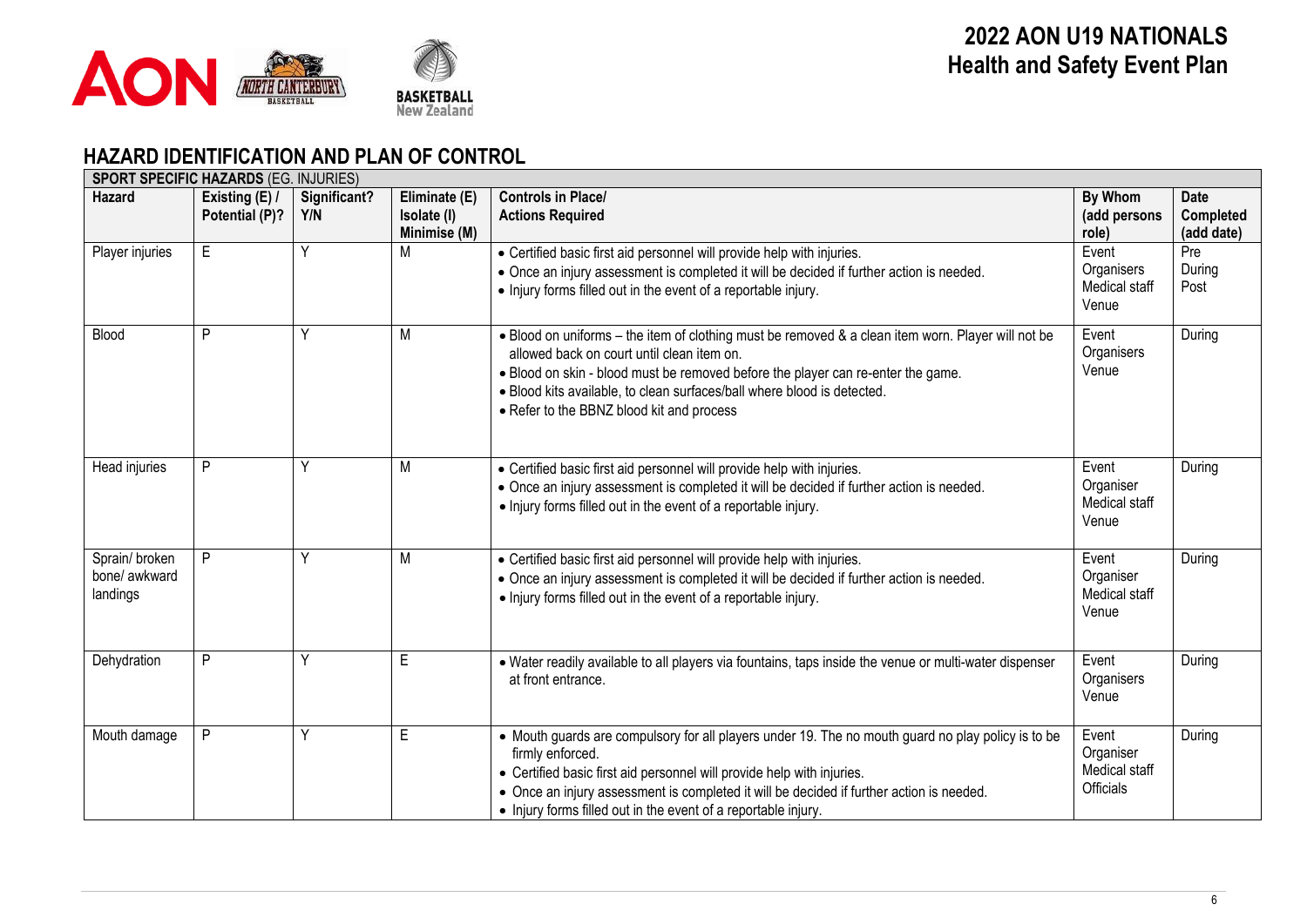

## **HAZARD IDENTIFICATION AND PLAN OF CONTROL**

|                                            | <b>SPORT SPECIFIC HAZARDS (EG. INJURIES)</b> |                     |                                              |                                                                                                                                                                                                                                                                                                                                                                |                                                  |                                               |  |  |  |  |  |
|--------------------------------------------|----------------------------------------------|---------------------|----------------------------------------------|----------------------------------------------------------------------------------------------------------------------------------------------------------------------------------------------------------------------------------------------------------------------------------------------------------------------------------------------------------------|--------------------------------------------------|-----------------------------------------------|--|--|--|--|--|
| <b>Hazard</b>                              | Existing (E)<br>Potential (P)?               | Significant?<br>Y/N | Eliminate (E)<br>Isolate (I)<br>Minimise (M) | <b>Controls in Place/</b><br><b>Actions Required</b>                                                                                                                                                                                                                                                                                                           | By Whom<br>(add persons<br>role)                 | <b>Date</b><br><b>Completed</b><br>(add date) |  |  |  |  |  |
| Player injuries                            | E                                            | Υ                   | M                                            | • Certified basic first aid personnel will provide help with injuries.<br>• Once an injury assessment is completed it will be decided if further action is needed.<br>• Injury forms filled out in the event of a reportable injury.                                                                                                                           | Event<br>Organisers<br>Medical staff<br>Venue    | Pre<br>During<br>Post                         |  |  |  |  |  |
| Blood                                      | P                                            | Υ                   | M                                            | . Blood on uniforms – the item of clothing must be removed & a clean item worn. Player will not be<br>allowed back on court until clean item on.<br>. Blood on skin - blood must be removed before the player can re-enter the game.<br>. Blood kits available, to clean surfaces/ball where blood is detected.<br>• Refer to the BBNZ blood kit and process   | Event<br>Organisers<br>Venue                     | During                                        |  |  |  |  |  |
| Head injuries                              | P                                            | Ý                   | M                                            | • Certified basic first aid personnel will provide help with injuries.<br>• Once an injury assessment is completed it will be decided if further action is needed.<br>• Injury forms filled out in the event of a reportable injury.                                                                                                                           | Event<br>Organiser<br>Medical staff<br>Venue     | During                                        |  |  |  |  |  |
| Sprain/broken<br>bone/ awkward<br>landings | P                                            | ٧                   | M                                            | • Certified basic first aid personnel will provide help with injuries.<br>• Once an injury assessment is completed it will be decided if further action is needed.<br>• Injury forms filled out in the event of a reportable injury.                                                                                                                           | Event<br>Organiser<br>Medical staff<br>Venue     | During                                        |  |  |  |  |  |
| Dehydration                                | P                                            | Υ                   | E.                                           | • Water readily available to all players via fountains, taps inside the venue or multi-water dispenser<br>at front entrance.                                                                                                                                                                                                                                   | Event<br>Organisers<br>Venue                     | During                                        |  |  |  |  |  |
| Mouth damage                               | P                                            | Ý                   | E                                            | • Mouth guards are compulsory for all players under 19. The no mouth guard no play policy is to be<br>firmly enforced.<br>• Certified basic first aid personnel will provide help with injuries.<br>• Once an injury assessment is completed it will be decided if further action is needed.<br>• Injury forms filled out in the event of a reportable injury. | Event<br>Organiser<br>Medical staff<br>Officials | During                                        |  |  |  |  |  |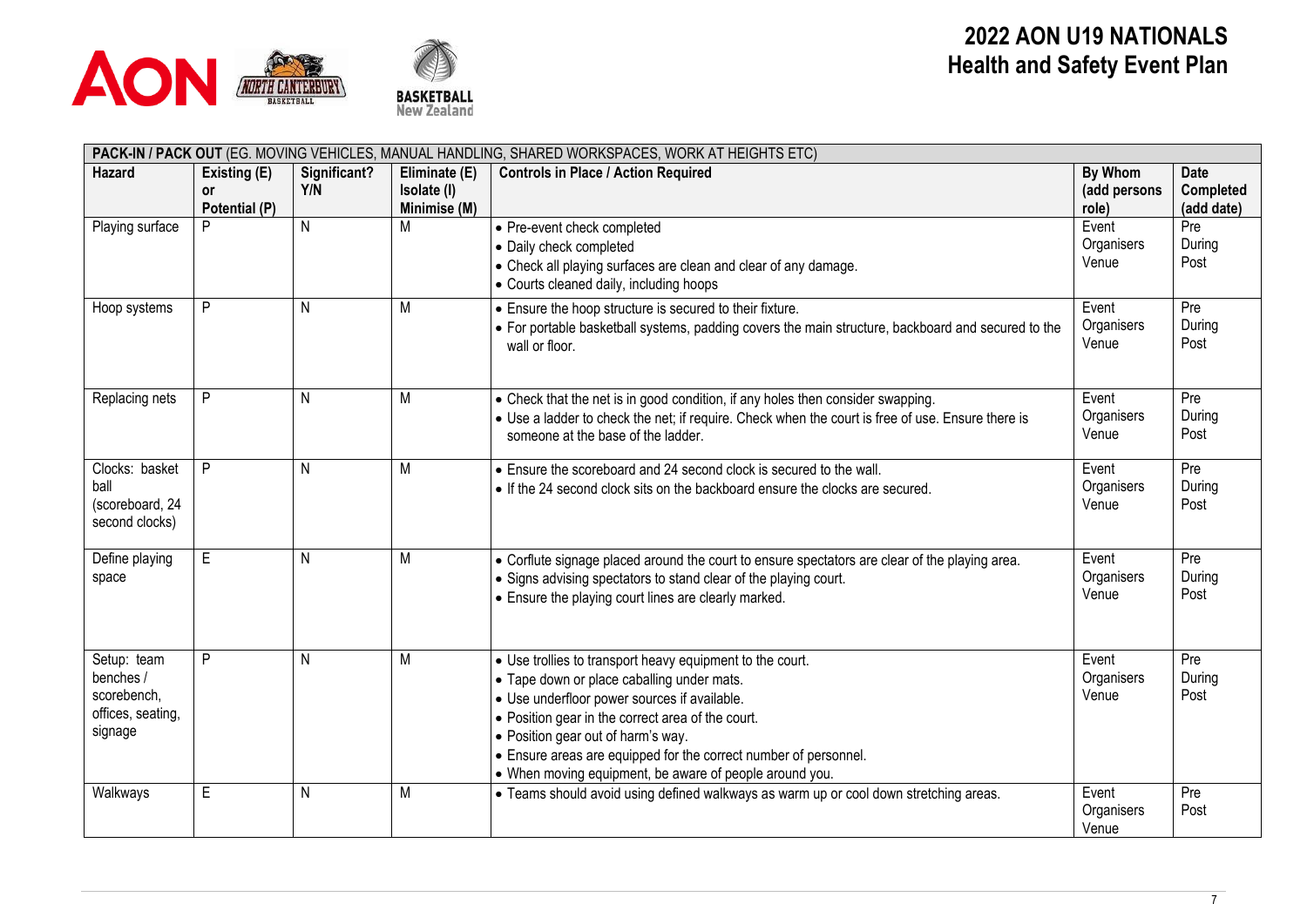



|                                                                         | PACK-IN / PACK OUT (EG. MOVING VEHICLES, MANUAL HANDLING, SHARED WORKSPACES, WORK AT HEIGHTS ETC) |                     |                                              |                                                                                                                                                                                                                                                                                                                                                                                   |                                  |                                        |  |  |  |  |
|-------------------------------------------------------------------------|---------------------------------------------------------------------------------------------------|---------------------|----------------------------------------------|-----------------------------------------------------------------------------------------------------------------------------------------------------------------------------------------------------------------------------------------------------------------------------------------------------------------------------------------------------------------------------------|----------------------------------|----------------------------------------|--|--|--|--|
| <b>Hazard</b>                                                           | Existing (E)<br><b>or</b><br>Potential (P)                                                        | Significant?<br>Y/N | Eliminate (E)<br>Isolate (I)<br>Minimise (M) | <b>Controls in Place / Action Required</b>                                                                                                                                                                                                                                                                                                                                        | By Whom<br>(add persons<br>role) | <b>Date</b><br>Completed<br>(add date) |  |  |  |  |
| Playing surface                                                         |                                                                                                   | N                   | М                                            | • Pre-event check completed<br>• Daily check completed<br>• Check all playing surfaces are clean and clear of any damage.<br>• Courts cleaned daily, including hoops                                                                                                                                                                                                              | Event<br>Organisers<br>Venue     | Pre<br>During<br>Post                  |  |  |  |  |
| Hoop systems                                                            | P                                                                                                 | N                   | M                                            | • Ensure the hoop structure is secured to their fixture.<br>• For portable basketball systems, padding covers the main structure, backboard and secured to the<br>wall or floor.                                                                                                                                                                                                  | Event<br>Organisers<br>Venue     | Pre<br>During<br>Post                  |  |  |  |  |
| Replacing nets                                                          | P                                                                                                 | N                   | М                                            | • Check that the net is in good condition, if any holes then consider swapping.<br>• Use a ladder to check the net; if require. Check when the court is free of use. Ensure there is<br>someone at the base of the ladder.                                                                                                                                                        | Event<br>Organisers<br>Venue     | Pre<br>During<br>Post                  |  |  |  |  |
| Clocks: basket<br>ball<br>(scoreboard, 24<br>second clocks)             | P                                                                                                 | N                   | M                                            | • Ensure the scoreboard and 24 second clock is secured to the wall.<br>• If the 24 second clock sits on the backboard ensure the clocks are secured.                                                                                                                                                                                                                              | Event<br>Organisers<br>Venue     | Pre<br>During<br>Post                  |  |  |  |  |
| Define playing<br>space                                                 | E                                                                                                 | N                   | M                                            | • Corflute signage placed around the court to ensure spectators are clear of the playing area.<br>• Signs advising spectators to stand clear of the playing court.<br>• Ensure the playing court lines are clearly marked.                                                                                                                                                        | Event<br>Organisers<br>Venue     | Pre<br>During<br>Post                  |  |  |  |  |
| Setup: team<br>benches /<br>scorebench,<br>offices, seating,<br>signage | P                                                                                                 | N                   | M                                            | • Use trollies to transport heavy equipment to the court.<br>• Tape down or place caballing under mats.<br>• Use underfloor power sources if available.<br>• Position gear in the correct area of the court.<br>• Position gear out of harm's way.<br>• Ensure areas are equipped for the correct number of personnel.<br>• When moving equipment, be aware of people around you. | Event<br>Organisers<br>Venue     | Pre<br>During<br>Post                  |  |  |  |  |
| Walkways                                                                | $\mathsf E$                                                                                       | N                   | M                                            | • Teams should avoid using defined walkways as warm up or cool down stretching areas.                                                                                                                                                                                                                                                                                             | Event<br>Organisers<br>Venue     | Pre<br>Post                            |  |  |  |  |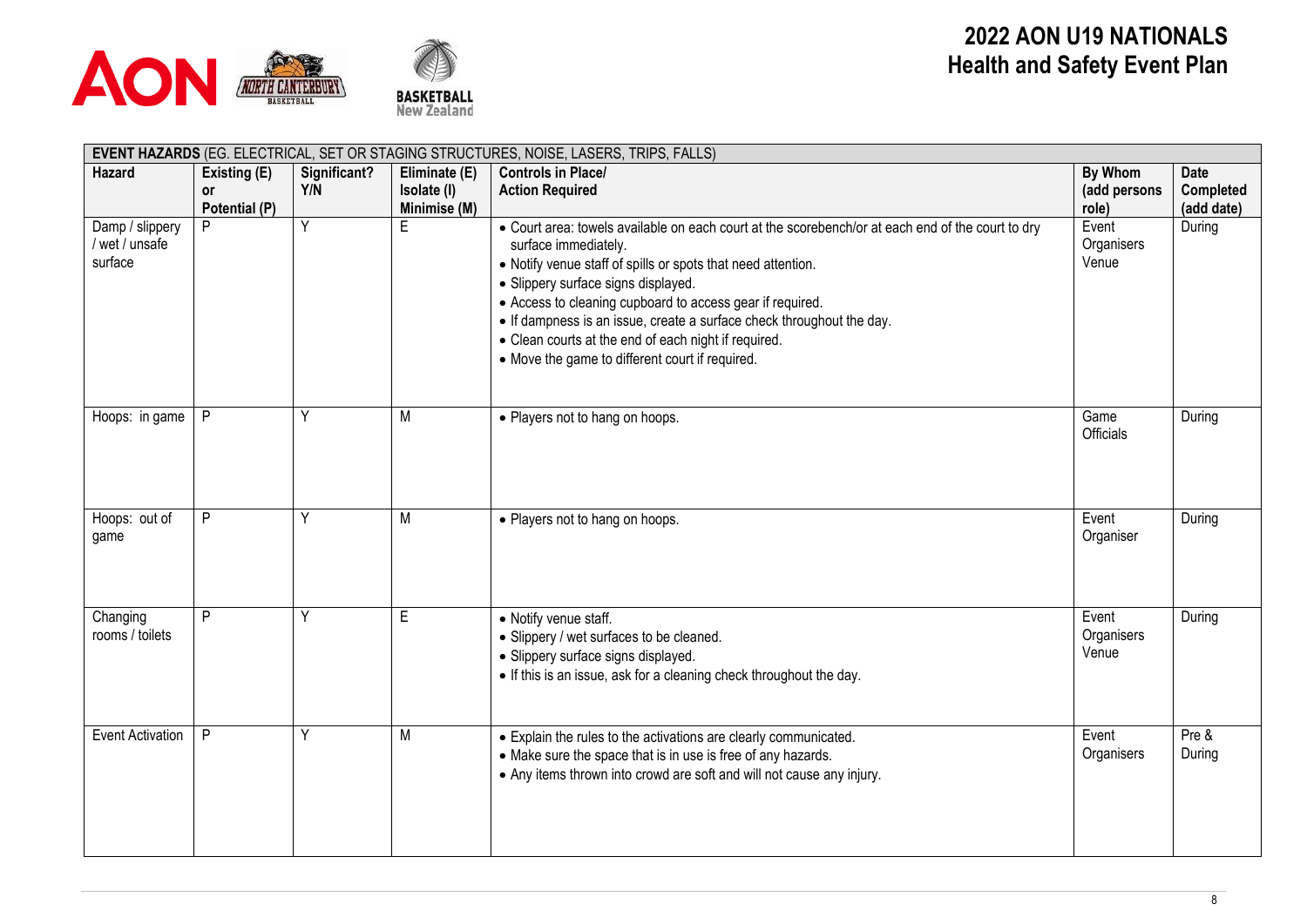



| EVENT HAZARDS (EG. ELECTRICAL, SET OR STAGING STRUCTURES, NOISE, LASERS, TRIPS, FALLS) |               |              |               |                                                                                                                                                                                                                                                                                                                                                                                                                                                                                   |                              |                 |  |  |  |  |
|----------------------------------------------------------------------------------------|---------------|--------------|---------------|-----------------------------------------------------------------------------------------------------------------------------------------------------------------------------------------------------------------------------------------------------------------------------------------------------------------------------------------------------------------------------------------------------------------------------------------------------------------------------------|------------------------------|-----------------|--|--|--|--|
| <b>Hazard</b>                                                                          | Existing (E)  | Significant? | Eliminate (E) | <b>Controls in Place/</b>                                                                                                                                                                                                                                                                                                                                                                                                                                                         | By Whom                      | <b>Date</b>     |  |  |  |  |
|                                                                                        | <b>or</b>     | Y/N          | Isolate (I)   | <b>Action Required</b>                                                                                                                                                                                                                                                                                                                                                                                                                                                            | (add persons                 | Completed       |  |  |  |  |
|                                                                                        | Potential (P) |              | Minimise (M)  |                                                                                                                                                                                                                                                                                                                                                                                                                                                                                   | role)                        | (add date)      |  |  |  |  |
| Damp / slippery<br>wet / unsafe<br>surface                                             | P             | Ÿ            | E             | . Court area: towels available on each court at the scorebench/or at each end of the court to dry<br>surface immediately.<br>• Notify venue staff of spills or spots that need attention.<br>• Slippery surface signs displayed.<br>• Access to cleaning cupboard to access gear if required.<br>• If dampness is an issue, create a surface check throughout the day.<br>• Clean courts at the end of each night if required.<br>• Move the game to different court if required. | Event<br>Organisers<br>Venue | During          |  |  |  |  |
| Hoops: in game                                                                         | P             | Υ            | M             | • Players not to hang on hoops.                                                                                                                                                                                                                                                                                                                                                                                                                                                   | Game<br>Officials            | During          |  |  |  |  |
| Hoops: out of<br>game                                                                  | P             | Υ            | M             | • Players not to hang on hoops.                                                                                                                                                                                                                                                                                                                                                                                                                                                   | Event<br>Organiser           | During          |  |  |  |  |
| Changing<br>rooms / toilets                                                            | P             |              | E             | • Notify venue staff.<br>• Slippery / wet surfaces to be cleaned.<br>• Slippery surface signs displayed.<br>• If this is an issue, ask for a cleaning check throughout the day.                                                                                                                                                                                                                                                                                                   | Event<br>Organisers<br>Venue | During          |  |  |  |  |
| <b>Event Activation</b>                                                                | P             | Υ            | M             | • Explain the rules to the activations are clearly communicated.<br>• Make sure the space that is in use is free of any hazards.<br>• Any items thrown into crowd are soft and will not cause any injury.                                                                                                                                                                                                                                                                         | Event<br>Organisers          | Pre &<br>During |  |  |  |  |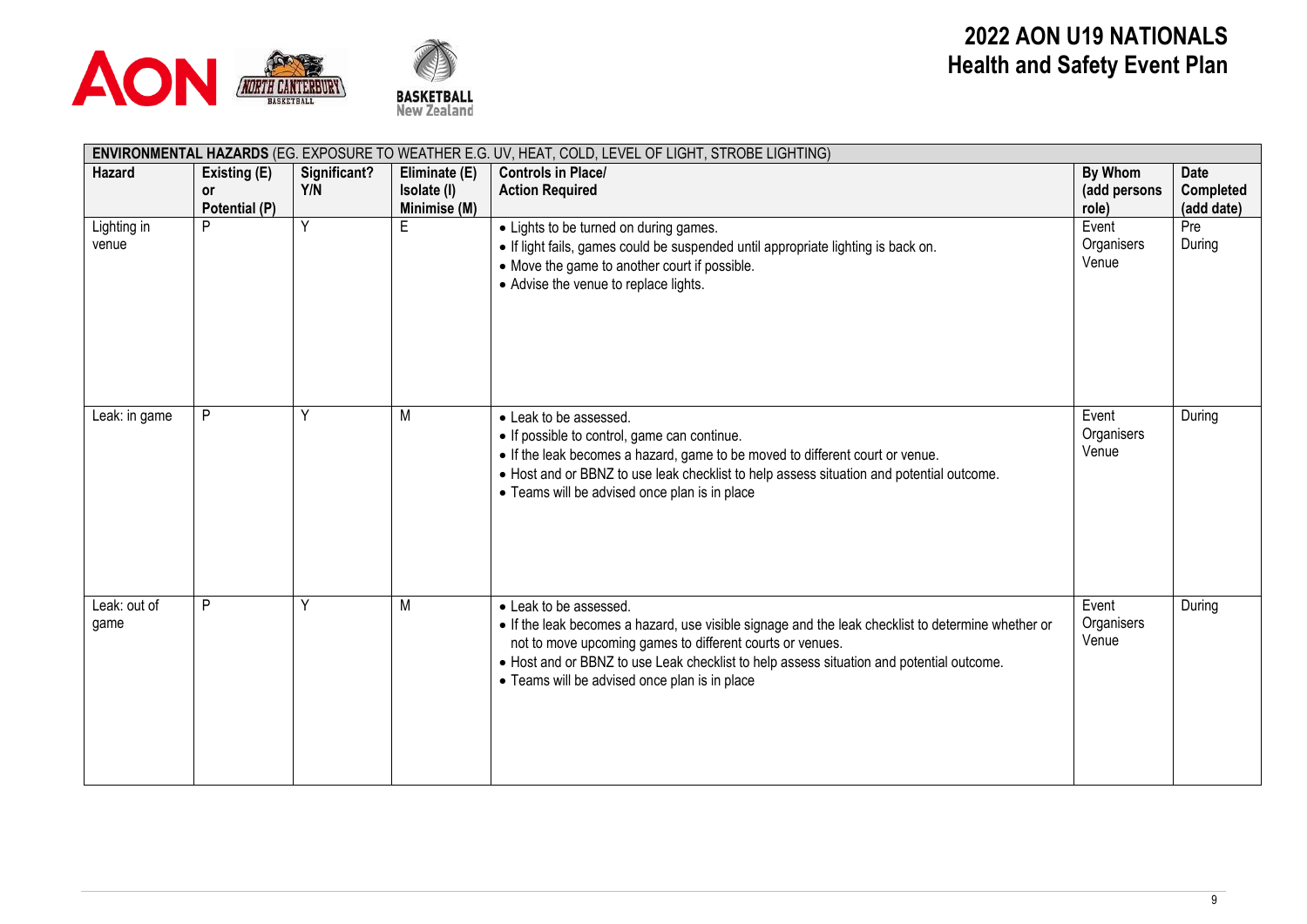



|                      | ENVIRONMENTAL HAZARDS (EG. EXPOSURE TO WEATHER E.G. UV, HEAT, COLD, LEVEL OF LIGHT, STROBE LIGHTING) |                     |                                              |                                                                                                                                                                                                                                                                                                                                        |                                  |                                        |  |  |  |  |
|----------------------|------------------------------------------------------------------------------------------------------|---------------------|----------------------------------------------|----------------------------------------------------------------------------------------------------------------------------------------------------------------------------------------------------------------------------------------------------------------------------------------------------------------------------------------|----------------------------------|----------------------------------------|--|--|--|--|
| Hazard               | Existing (E)<br><b>or</b><br>Potential (P)                                                           | Significant?<br>Y/N | Eliminate (E)<br>Isolate (I)<br>Minimise (M) | <b>Controls in Place/</b><br><b>Action Required</b>                                                                                                                                                                                                                                                                                    | By Whom<br>(add persons<br>role) | <b>Date</b><br>Completed<br>(add date) |  |  |  |  |
| Lighting in<br>venue | P                                                                                                    | $\overline{Y}$      | E                                            | • Lights to be turned on during games.<br>• If light fails, games could be suspended until appropriate lighting is back on.<br>• Move the game to another court if possible.<br>• Advise the venue to replace lights.                                                                                                                  | Event<br>Organisers<br>Venue     | Pre<br>During                          |  |  |  |  |
| Leak: in game        | P                                                                                                    | ٧                   | M                                            | • Leak to be assessed.<br>• If possible to control, game can continue.<br>• If the leak becomes a hazard, game to be moved to different court or venue.<br>• Host and or BBNZ to use leak checklist to help assess situation and potential outcome.<br>• Teams will be advised once plan is in place                                   | Event<br>Organisers<br>Venue     | During                                 |  |  |  |  |
| Leak: out of<br>game | P                                                                                                    |                     | M                                            | • Leak to be assessed.<br>• If the leak becomes a hazard, use visible signage and the leak checklist to determine whether or<br>not to move upcoming games to different courts or venues.<br>• Host and or BBNZ to use Leak checklist to help assess situation and potential outcome.<br>• Teams will be advised once plan is in place | Event<br>Organisers<br>Venue     | During                                 |  |  |  |  |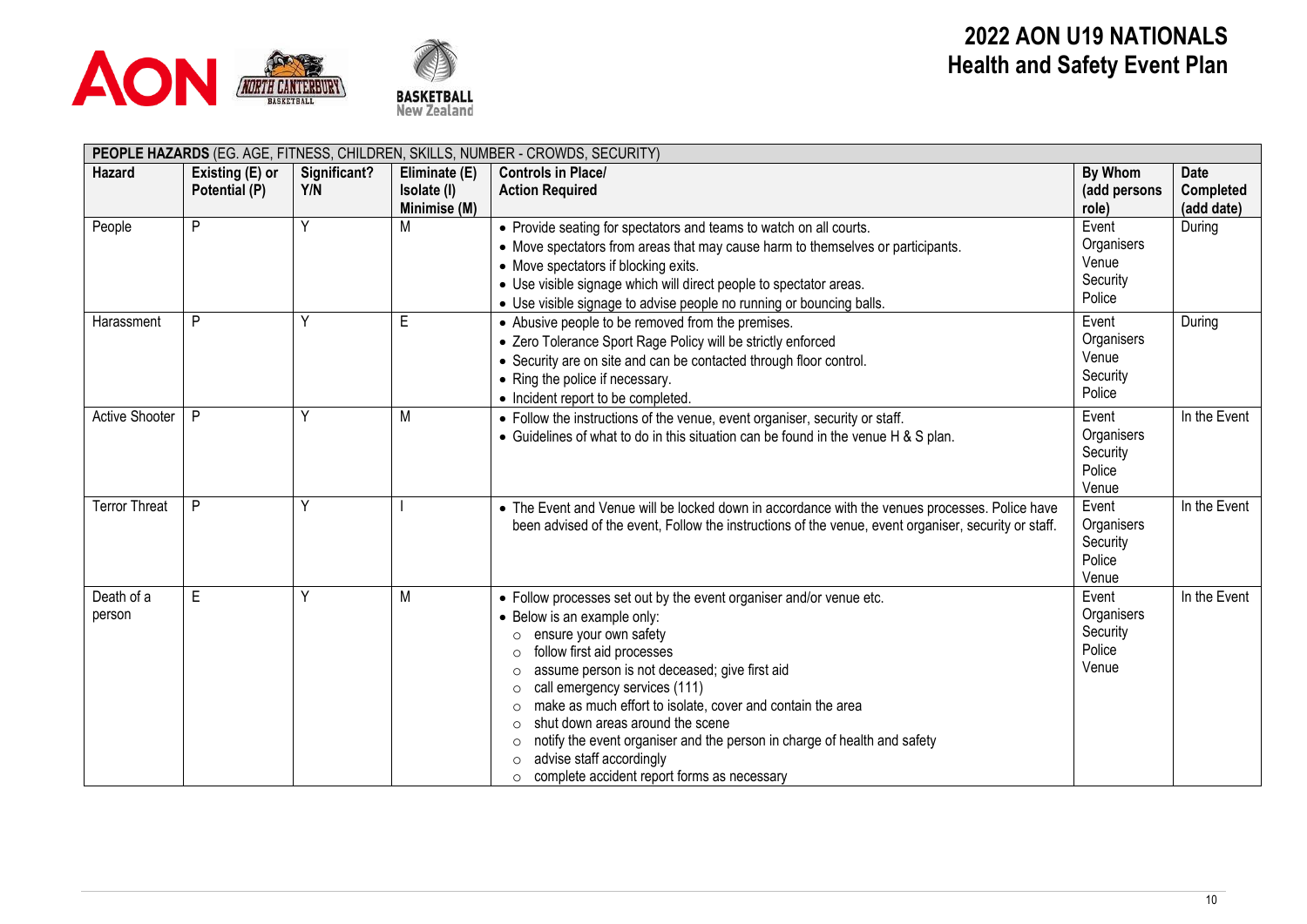



|                      | PEOPLE HAZARDS (EG. AGE, FITNESS, CHILDREN, SKILLS, NUMBER - CROWDS, SECURITY) |                     |                                              |                                                                                                                                                                                                                                                                                                                                                                                                                                                                                                                                                                                                 |                                                    |                                               |  |  |  |
|----------------------|--------------------------------------------------------------------------------|---------------------|----------------------------------------------|-------------------------------------------------------------------------------------------------------------------------------------------------------------------------------------------------------------------------------------------------------------------------------------------------------------------------------------------------------------------------------------------------------------------------------------------------------------------------------------------------------------------------------------------------------------------------------------------------|----------------------------------------------------|-----------------------------------------------|--|--|--|
| <b>Hazard</b>        | Existing (E) or<br>Potential (P)                                               | Significant?<br>Y/N | Eliminate (E)<br>Isolate (I)<br>Minimise (M) | <b>Controls in Place/</b><br><b>Action Required</b>                                                                                                                                                                                                                                                                                                                                                                                                                                                                                                                                             | By Whom<br>(add persons<br>role)                   | <b>Date</b><br><b>Completed</b><br>(add date) |  |  |  |
| People               | P                                                                              | Y                   | M                                            | • Provide seating for spectators and teams to watch on all courts.<br>• Move spectators from areas that may cause harm to themselves or participants.<br>• Move spectators if blocking exits.<br>• Use visible signage which will direct people to spectator areas.<br>• Use visible signage to advise people no running or bouncing balls.                                                                                                                                                                                                                                                     | Event<br>Organisers<br>Venue<br>Security<br>Police | During                                        |  |  |  |
| Harassment           | P                                                                              | Υ                   | E                                            | • Abusive people to be removed from the premises.<br>• Zero Tolerance Sport Rage Policy will be strictly enforced<br>• Security are on site and can be contacted through floor control.<br>• Ring the police if necessary.<br>• Incident report to be completed.                                                                                                                                                                                                                                                                                                                                | Event<br>Organisers<br>Venue<br>Security<br>Police | During                                        |  |  |  |
| Active Shooter       | P                                                                              | Υ                   | M                                            | • Follow the instructions of the venue, event organiser, security or staff.<br>• Guidelines of what to do in this situation can be found in the venue H & S plan.                                                                                                                                                                                                                                                                                                                                                                                                                               | Event<br>Organisers<br>Security<br>Police<br>Venue | In the Event                                  |  |  |  |
| <b>Terror Threat</b> | P                                                                              |                     |                                              | • The Event and Venue will be locked down in accordance with the venues processes. Police have<br>been advised of the event, Follow the instructions of the venue, event organiser, security or staff.                                                                                                                                                                                                                                                                                                                                                                                          | Event<br>Organisers<br>Security<br>Police<br>Venue | In the Event                                  |  |  |  |
| Death of a<br>person | E                                                                              | Υ                   | M                                            | • Follow processes set out by the event organiser and/or venue etc.<br>• Below is an example only:<br>ensure your own safety<br>$\circ$<br>follow first aid processes<br>assume person is not deceased; give first aid<br>$\Omega$<br>call emergency services (111)<br>$\circ$<br>make as much effort to isolate, cover and contain the area<br>$\circ$<br>shut down areas around the scene<br>$\Omega$<br>notify the event organiser and the person in charge of health and safety<br>$\circ$<br>advise staff accordingly<br>$\circ$<br>complete accident report forms as necessary<br>$\circ$ | Event<br>Organisers<br>Security<br>Police<br>Venue | In the Event                                  |  |  |  |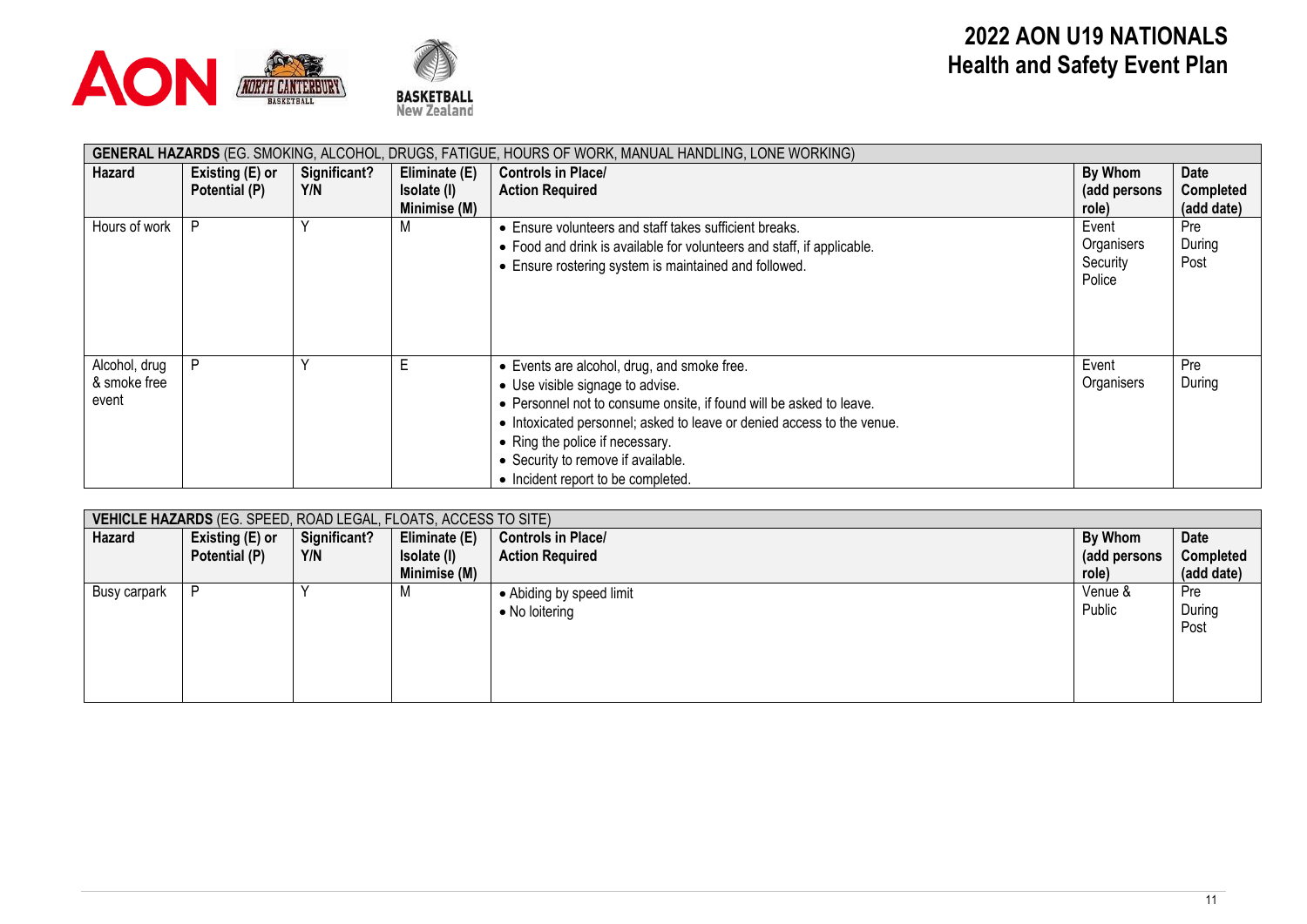



| GENERAL HAZARDS (EG. SMOKING, ALCOHOL, DRUGS, FATIGUE, HOURS OF WORK, MANUAL HANDLING, LONE WORKING) |                 |              |               |                                                                        |              |                  |  |  |  |  |
|------------------------------------------------------------------------------------------------------|-----------------|--------------|---------------|------------------------------------------------------------------------|--------------|------------------|--|--|--|--|
| Hazard                                                                                               | Existing (E) or | Significant? | Eliminate (E) | <b>Controls in Place/</b>                                              | By Whom      | Date             |  |  |  |  |
|                                                                                                      | Potential (P)   | Y/N          | Isolate (I)   | <b>Action Required</b>                                                 | (add persons | <b>Completed</b> |  |  |  |  |
|                                                                                                      |                 |              | Minimise (M)  |                                                                        | role)        | (add date)       |  |  |  |  |
| Hours of work                                                                                        | D               |              | ΙVΙ           | • Ensure volunteers and staff takes sufficient breaks.                 | Event        | Pre              |  |  |  |  |
|                                                                                                      |                 |              |               | • Food and drink is available for volunteers and staff, if applicable. | Organisers   | During           |  |  |  |  |
|                                                                                                      |                 |              |               | • Ensure rostering system is maintained and followed.                  | Security     | Post             |  |  |  |  |
|                                                                                                      |                 |              |               |                                                                        | Police       |                  |  |  |  |  |
|                                                                                                      |                 |              |               |                                                                        |              |                  |  |  |  |  |
|                                                                                                      |                 |              |               |                                                                        |              |                  |  |  |  |  |
|                                                                                                      |                 |              |               |                                                                        |              |                  |  |  |  |  |
| Alcohol, drug                                                                                        | D               |              |               | • Events are alcohol, drug, and smoke free.                            | Event        | Pre              |  |  |  |  |
| & smoke free                                                                                         |                 |              |               | • Use visible signage to advise.                                       | Organisers   | During           |  |  |  |  |
| event                                                                                                |                 |              |               | • Personnel not to consume onsite, if found will be asked to leave.    |              |                  |  |  |  |  |
|                                                                                                      |                 |              |               |                                                                        |              |                  |  |  |  |  |
|                                                                                                      |                 |              |               | • Intoxicated personnel; asked to leave or denied access to the venue. |              |                  |  |  |  |  |
|                                                                                                      |                 |              |               | • Ring the police if necessary.                                        |              |                  |  |  |  |  |
|                                                                                                      |                 |              |               | • Security to remove if available.                                     |              |                  |  |  |  |  |
|                                                                                                      |                 |              |               | • Incident report to be completed.                                     |              |                  |  |  |  |  |

|              | VEHICLE HAZARDS (EG. SPEED, ROAD LEGAL, FLOATS, ACCESS TO SITE) |              |               |                           |              |             |  |  |  |  |
|--------------|-----------------------------------------------------------------|--------------|---------------|---------------------------|--------------|-------------|--|--|--|--|
| Hazard       | Existing (E) or                                                 | Significant? | Eliminate (E) | <b>Controls in Place/</b> | By Whom      | <b>Date</b> |  |  |  |  |
|              | Potential (P)                                                   | Y/N          | Isolate (I)   | <b>Action Required</b>    | (add persons | Completed   |  |  |  |  |
|              |                                                                 |              | Minimise (M)  |                           | role)        | (add date)  |  |  |  |  |
| Busy carpark | D                                                               |              | M             | • Abiding by speed limit  | Venue &      | Pre         |  |  |  |  |
|              |                                                                 |              |               | • No loitering            | Public       | During      |  |  |  |  |
|              |                                                                 |              |               |                           |              | Post        |  |  |  |  |
|              |                                                                 |              |               |                           |              |             |  |  |  |  |
|              |                                                                 |              |               |                           |              |             |  |  |  |  |
|              |                                                                 |              |               |                           |              |             |  |  |  |  |
|              |                                                                 |              |               |                           |              |             |  |  |  |  |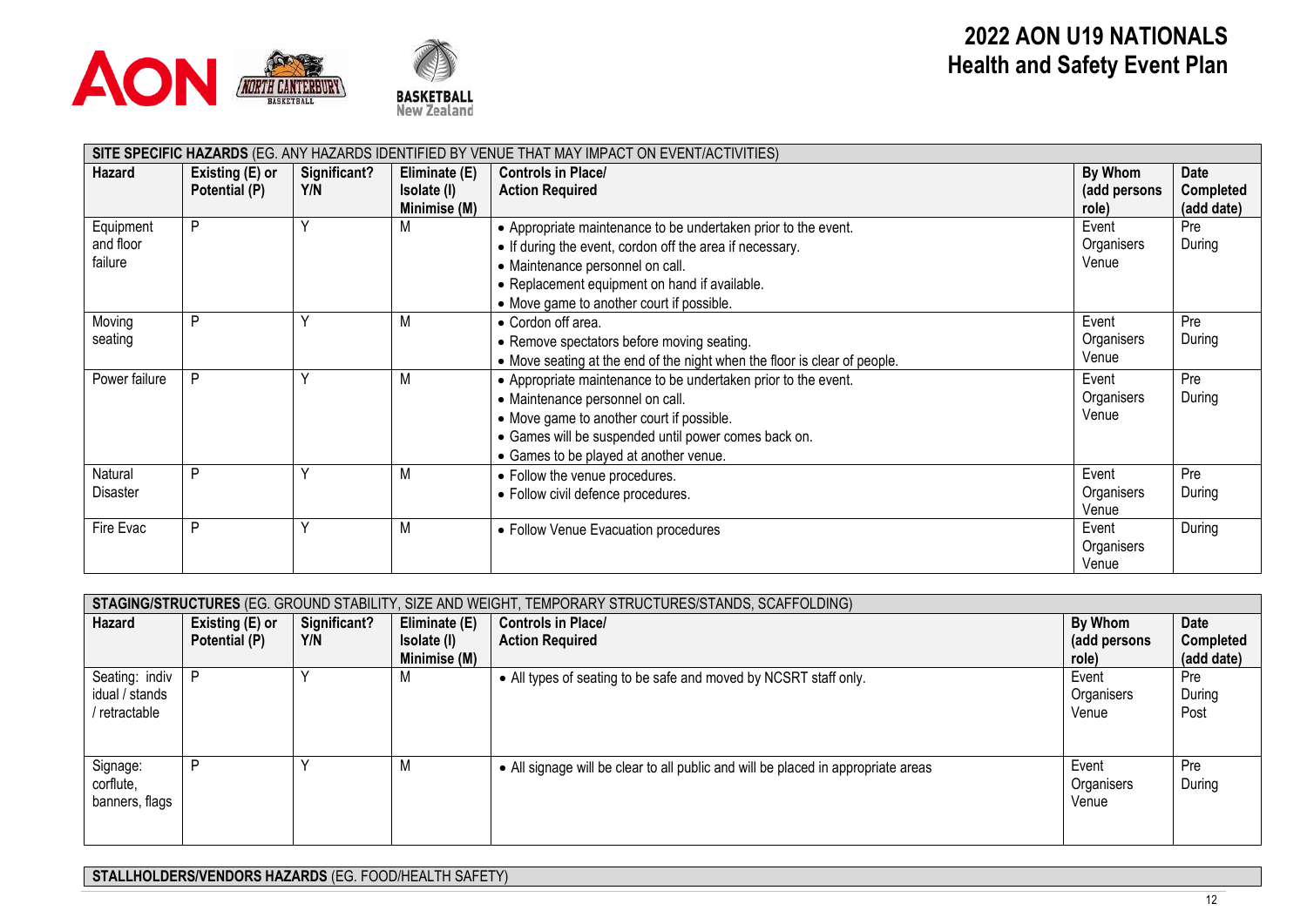



| SITE SPECIFIC HAZARDS (EG. ANY HAZARDS IDENTIFIED BY VENUE THAT MAY IMPACT ON EVENT/ACTIVITIES) |                 |              |               |                                                                           |              |                  |  |  |
|-------------------------------------------------------------------------------------------------|-----------------|--------------|---------------|---------------------------------------------------------------------------|--------------|------------------|--|--|
| Hazard                                                                                          | Existing (E) or | Significant? | Eliminate (E) | <b>Controls in Place/</b>                                                 | By Whom      | Date             |  |  |
|                                                                                                 | Potential (P)   | Y/N          | Isolate (I)   | <b>Action Required</b>                                                    | (add persons | <b>Completed</b> |  |  |
|                                                                                                 |                 |              | Minimise (M)  |                                                                           | role)        | (add date)       |  |  |
| Equipment                                                                                       | D               |              | M             | • Appropriate maintenance to be undertaken prior to the event.            | Event        | Pre              |  |  |
| and floor                                                                                       |                 |              |               | • If during the event, cordon off the area if necessary.                  | Organisers   | During           |  |  |
| failure                                                                                         |                 |              |               | • Maintenance personnel on call.                                          | Venue        |                  |  |  |
|                                                                                                 |                 |              |               | • Replacement equipment on hand if available.                             |              |                  |  |  |
|                                                                                                 |                 |              |               | • Move game to another court if possible.                                 |              |                  |  |  |
| Moving                                                                                          | D               |              | M             | • Cordon off area.                                                        | Event        | Pre              |  |  |
| seating                                                                                         |                 |              |               | • Remove spectators before moving seating.                                | Organisers   | During           |  |  |
|                                                                                                 |                 |              |               | • Move seating at the end of the night when the floor is clear of people. | Venue        |                  |  |  |
| Power failure                                                                                   | D               |              | M             | • Appropriate maintenance to be undertaken prior to the event.            | Event        | Pre              |  |  |
|                                                                                                 |                 |              |               | • Maintenance personnel on call.                                          | Organisers   | During           |  |  |
|                                                                                                 |                 |              |               | • Move game to another court if possible.                                 | Venue        |                  |  |  |
|                                                                                                 |                 |              |               | • Games will be suspended until power comes back on.                      |              |                  |  |  |
|                                                                                                 |                 |              |               | • Games to be played at another venue.                                    |              |                  |  |  |
| Natural                                                                                         | D               |              | M             | • Follow the venue procedures.                                            | Event        | Pre              |  |  |
| Disaster                                                                                        |                 |              |               | · Follow civil defence procedures.                                        | Organisers   | During           |  |  |
|                                                                                                 |                 |              |               |                                                                           | Venue        |                  |  |  |
| Fire Evac                                                                                       | D               |              | M             | • Follow Venue Evacuation procedures                                      | Event        | During           |  |  |
|                                                                                                 |                 |              |               |                                                                           | Organisers   |                  |  |  |
|                                                                                                 |                 |              |               |                                                                           | Venue        |                  |  |  |

| STAGING/STRUCTURES (EG. GROUND STABILITY, SIZE AND WEIGHT, TEMPORARY STRUCTURES/STANDS, SCAFFOLDING) |                 |              |               |                                                                                   |                              |                       |  |  |
|------------------------------------------------------------------------------------------------------|-----------------|--------------|---------------|-----------------------------------------------------------------------------------|------------------------------|-----------------------|--|--|
| Hazard                                                                                               | Existing (E) or | Significant? | Eliminate (E) | <b>Controls in Place/</b>                                                         | By Whom                      | Date                  |  |  |
|                                                                                                      | Potential (P)   | Y/N          | Isolate (I)   | <b>Action Required</b>                                                            | (add persons                 | <b>Completed</b>      |  |  |
|                                                                                                      |                 |              | Minimise (M)  |                                                                                   | role)                        | (add date)            |  |  |
| Seating: indiv<br>idual / stands<br>retractable                                                      | D               |              |               | • All types of seating to be safe and moved by NCSRT staff only.                  | Event<br>Organisers<br>Venue | Pre<br>During<br>Post |  |  |
| Signage:<br>corflute,<br>banners, flags                                                              |                 |              |               | • All signage will be clear to all public and will be placed in appropriate areas | Event<br>Organisers<br>Venue | Pre<br>During         |  |  |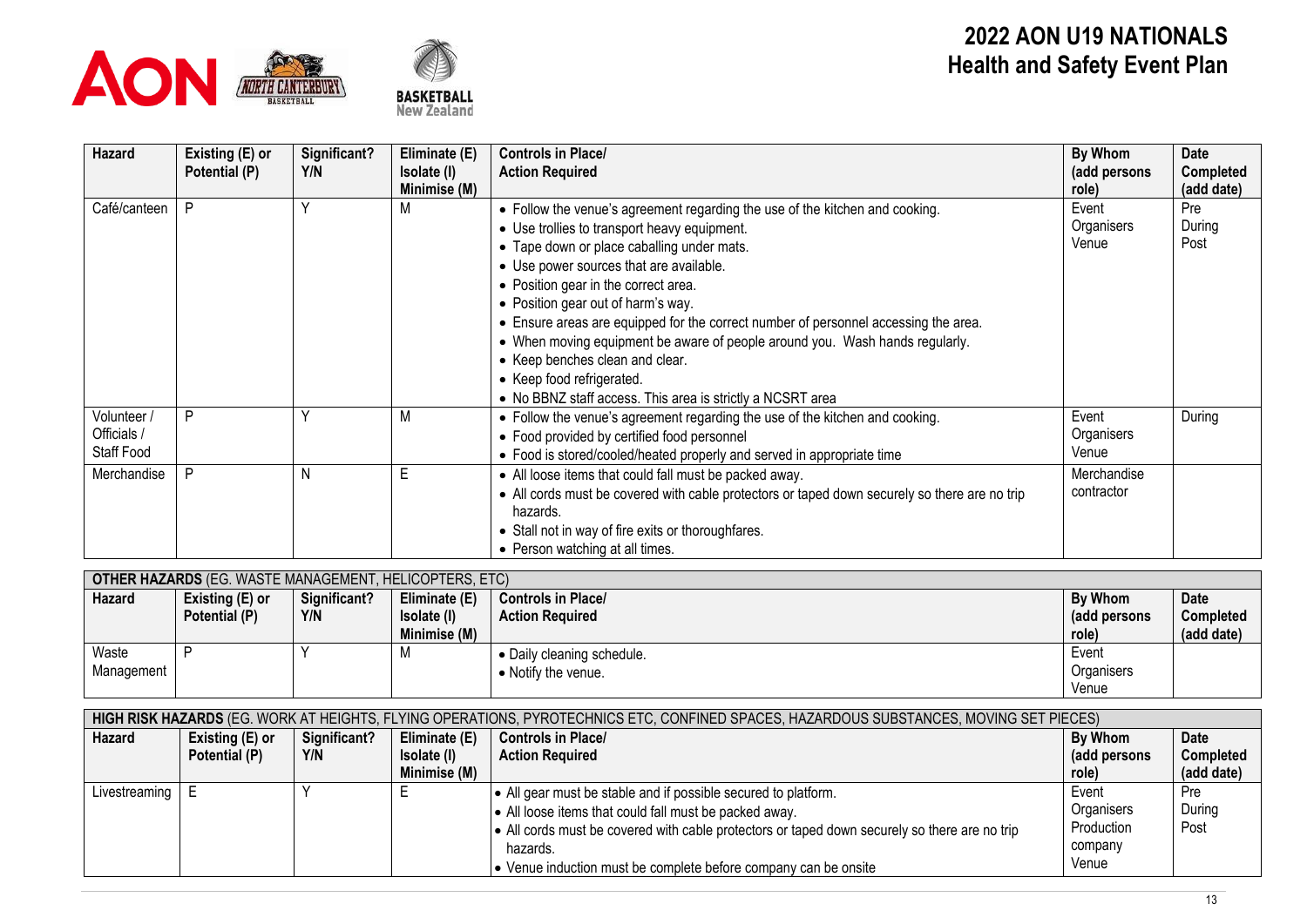



# **2022 AON U19 NATIONALS Health and Safety Event Plan**

| Hazard                                   | Existing (E) or<br>Potential (P) | Significant?<br>Y/N | Eliminate (E)<br>Isolate (I)<br>Minimise (M) | <b>Controls in Place/</b><br><b>Action Required</b>                                                                                                                                                                                                                                                                                                                                                                                                                                                                                                                                                      | By Whom<br>(add persons<br>role) | <b>Date</b><br><b>Completed</b><br>(add date) |
|------------------------------------------|----------------------------------|---------------------|----------------------------------------------|----------------------------------------------------------------------------------------------------------------------------------------------------------------------------------------------------------------------------------------------------------------------------------------------------------------------------------------------------------------------------------------------------------------------------------------------------------------------------------------------------------------------------------------------------------------------------------------------------------|----------------------------------|-----------------------------------------------|
| Café/canteen                             | P                                | ν                   |                                              | • Follow the venue's agreement regarding the use of the kitchen and cooking.<br>• Use trollies to transport heavy equipment.<br>• Tape down or place caballing under mats.<br>• Use power sources that are available.<br>• Position gear in the correct area.<br>• Position gear out of harm's way.<br>• Ensure areas are equipped for the correct number of personnel accessing the area.<br>• When moving equipment be aware of people around you. Wash hands regularly.<br>• Keep benches clean and clear.<br>• Keep food refrigerated.<br>• No BBNZ staff access. This area is strictly a NCSRT area | Event<br>Organisers<br>Venue     | Pre<br>During<br>Post                         |
| Volunteer /<br>Officials /<br>Staff Food | P                                |                     |                                              | • Follow the venue's agreement regarding the use of the kitchen and cooking.<br>• Food provided by certified food personnel<br>• Food is stored/cooled/heated properly and served in appropriate time                                                                                                                                                                                                                                                                                                                                                                                                    | Event<br>Organisers<br>Venue     | During                                        |
| Merchandise                              | P                                | N                   | Е                                            | • All loose items that could fall must be packed away.<br>• All cords must be covered with cable protectors or taped down securely so there are no trip<br>hazards.<br>• Stall not in way of fire exits or thoroughfares.<br>• Person watching at all times.                                                                                                                                                                                                                                                                                                                                             | Merchandise<br>contractor        |                                               |

| <b>OTHER HAZARDS</b> (EG. WASTE MANAGEMENT, HELICOPTERS, ETC) |                 |              |               |                            |              |             |  |  |
|---------------------------------------------------------------|-----------------|--------------|---------------|----------------------------|--------------|-------------|--|--|
| Hazard                                                        | Existing (E) or | Significant? | Eliminate (E) | <b>Controls in Place/</b>  | By Whom      | <b>Date</b> |  |  |
|                                                               | Potential (P)   | Y/N          | Isolate (I)   | <b>Action Required</b>     | (add persons | Completed   |  |  |
|                                                               |                 |              | Minimise (M)  |                            | role)        | (add date)  |  |  |
| Waste                                                         |                 |              | IVI           | • Daily cleaning schedule. | Event        |             |  |  |
| Management                                                    |                 |              |               | • Notify the venue.        | Organisers   |             |  |  |
|                                                               |                 |              |               |                            | Venue        |             |  |  |

| <b>HIGH RISK HAZARDS</b> (EG. WORK AT HEIGHTS, FLYING OPERATIONS, PYROTECHNICS ETC, CONFINED SPACES, HAZARDOUS SUBSTANCES, MOVING SET PIECES) |                 |              |               |                                                                                               |               |             |  |  |
|-----------------------------------------------------------------------------------------------------------------------------------------------|-----------------|--------------|---------------|-----------------------------------------------------------------------------------------------|---------------|-------------|--|--|
| Hazard                                                                                                                                        | Existing (E) or | Significant? | Eliminate (E) | <b>Controls in Place/</b>                                                                     | By Whom       | <b>Date</b> |  |  |
|                                                                                                                                               | Potential (P)   | Y/N          | Isolate (I)   | <b>Action Required</b>                                                                        | (add persons) | Completed   |  |  |
|                                                                                                                                               |                 |              | Minimise (M)  |                                                                                               | role)         | (add date)  |  |  |
| Livestreaming                                                                                                                                 |                 |              |               | All gear must be stable and if possible secured to platform.                                  | Event         | Pre         |  |  |
|                                                                                                                                               |                 |              |               | • All loose items that could fall must be packed away.                                        | Organisers    | During      |  |  |
|                                                                                                                                               |                 |              |               | • All cords must be covered with cable protectors or taped down securely so there are no trip | Production    | Post        |  |  |
|                                                                                                                                               |                 |              |               | hazards.                                                                                      | company       |             |  |  |
|                                                                                                                                               |                 |              |               | • Venue induction must be complete before company can be onsite                               | Venue         |             |  |  |